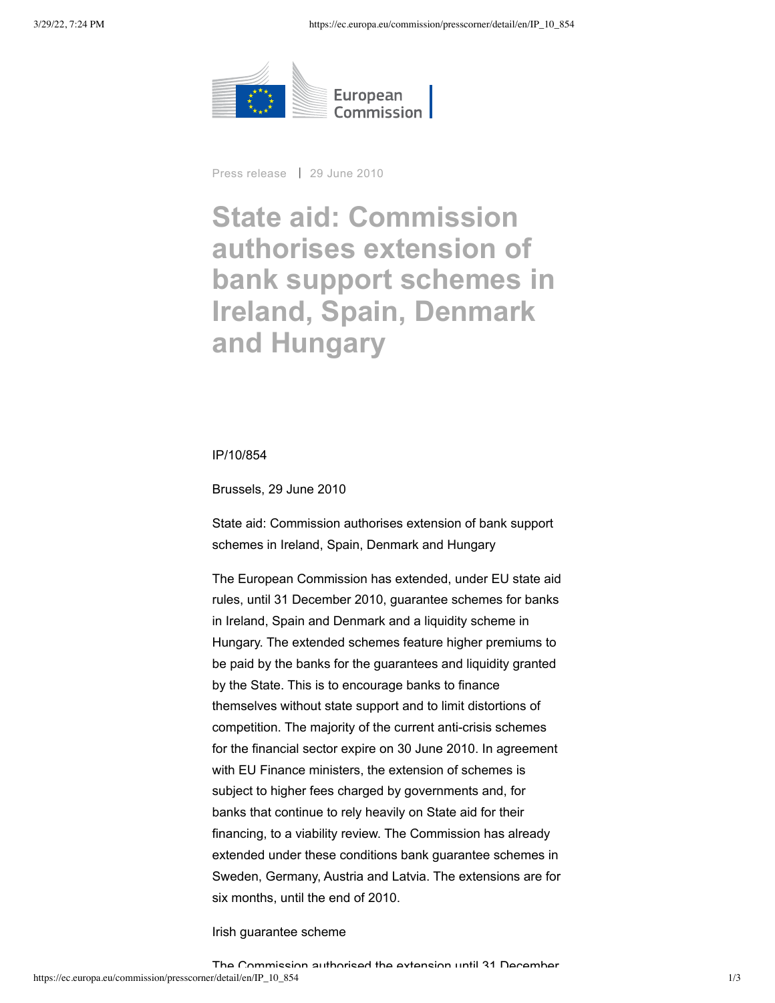

Press release | 29 June 2010

# **State aid: Commission authorises extension of bank support schemes in Ireland, Spain, Denmark and Hungary**

#### IP/10/854

Brussels, 29 June 2010

State aid: Commission authorises extension of bank support schemes in Ireland, Spain, Denmark and Hungary

The European Commission has extended, under EU state aid rules, until 31 December 2010, guarantee schemes for banks in Ireland, Spain and Denmark and a liquidity scheme in Hungary. The extended schemes feature higher premiums to be paid by the banks for the guarantees and liquidity granted by the State. This is to encourage banks to finance themselves without state support and to limit distortions of competition. The majority of the current anti-crisis schemes for the financial sector expire on 30 June 2010. In agreement with EU Finance ministers, the extension of schemes is subject to higher fees charged by governments and, for banks that continue to rely heavily on State aid for their financing, to a viability review. The Commission has already extended under these conditions bank guarantee schemes in Sweden, Germany, Austria and Latvia. The extensions are for six months, until the end of 2010.

Irish guarantee scheme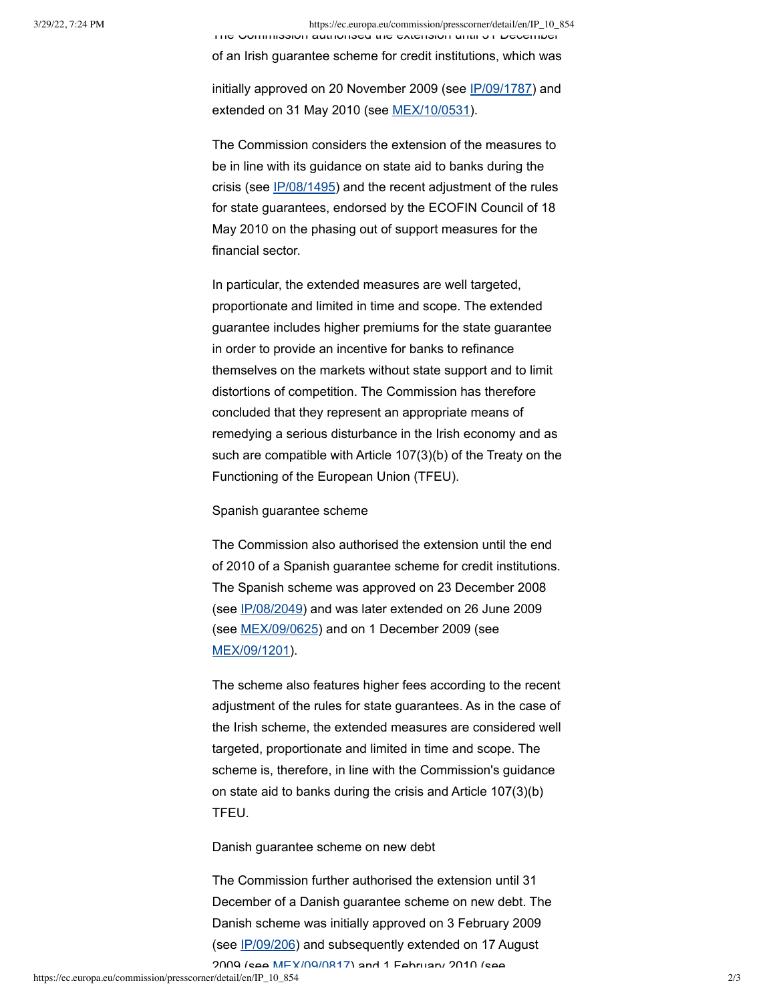3/29/22, 7:24 PM https://ec.europa.eu/commission/presscorner/detail/en/IP\_10\_854

The Commission authorised the extension until 31 December of an Irish guarantee scheme for credit institutions, which was

initially approved on 20 November 2009 (see [IP/09/1787](http://europa.eu/rapid/pressReleasesAction.do?reference=IP/09/1787&format=HTML&aged=0&language=EN&guiLanguage=en)) and extended on 31 May 2010 (see [MEX/10/0531\)](http://europa.eu/rapid/pressReleasesAction.do?reference=MEX/10/0531&format=HTML&aged=0&language=EN&guiLanguage=en).

The Commission considers the extension of the measures to be in line with its guidance on state aid to banks during the crisis (see [IP/08/1495](http://europa.eu/rapid/pressReleasesAction.do?reference=IP/08/1495&format=HTML&aged=0&language=EN&guiLanguage=en)) and the recent adjustment of the rules for state guarantees, endorsed by the ECOFIN Council of 18 May 2010 on the phasing out of support measures for the financial sector.

In particular, the extended measures are well targeted, proportionate and limited in time and scope. The extended guarantee includes higher premiums for the state guarantee in order to provide an incentive for banks to refinance themselves on the markets without state support and to limit distortions of competition. The Commission has therefore concluded that they represent an appropriate means of remedying a serious disturbance in the Irish economy and as such are compatible with Article 107(3)(b) of the Treaty on the Functioning of the European Union (TFEU).

## Spanish guarantee scheme

The Commission also authorised the extension until the end of 2010 of a Spanish guarantee scheme for credit institutions. The Spanish scheme was approved on 23 December 2008 (see [IP/08/2049](http://europa.eu/rapid/pressReleasesAction.do?reference=IP/08/2049&format=HTML&aged=0&language=EN&guiLanguage=en)) and was later extended on 26 June 2009 (see [MEX/09/0625](http://europa.eu/rapid/pressReleasesAction.do?reference=MEX/09/0625&format=HTML&aged=0&language=EN&guiLanguage=en)) and on 1 December 2009 (see [MEX/09/1201](http://europa.eu/rapid/pressReleasesAction.do?reference=MEX/09/1201&format=HTML&aged=0&language=EN&guiLanguage=en)).

The scheme also features higher fees according to the recent adjustment of the rules for state guarantees. As in the case of the Irish scheme, the extended measures are considered well targeted, proportionate and limited in time and scope. The scheme is, therefore, in line with the Commission's guidance on state aid to banks during the crisis and Article 107(3)(b) TFEU.

Danish guarantee scheme on new debt

The Commission further authorised the extension until 31 December of a Danish guarantee scheme on new debt. The Danish scheme was initially approved on 3 February 2009 (see [IP/09/206\)](http://europa.eu/rapid/pressReleasesAction.do?reference=IP/09/206&format=HTML&aged=0&language=EN&guiLanguage=en) and subsequently extended on 17 August

2009 (see [MEX/09/0817\)](http://europa.eu/rapid/pressReleasesAction.do?reference=MEX/09/0817&format=HTML&aged=0&language=EN&guiLanguage=en) and 1 February 2010 (see